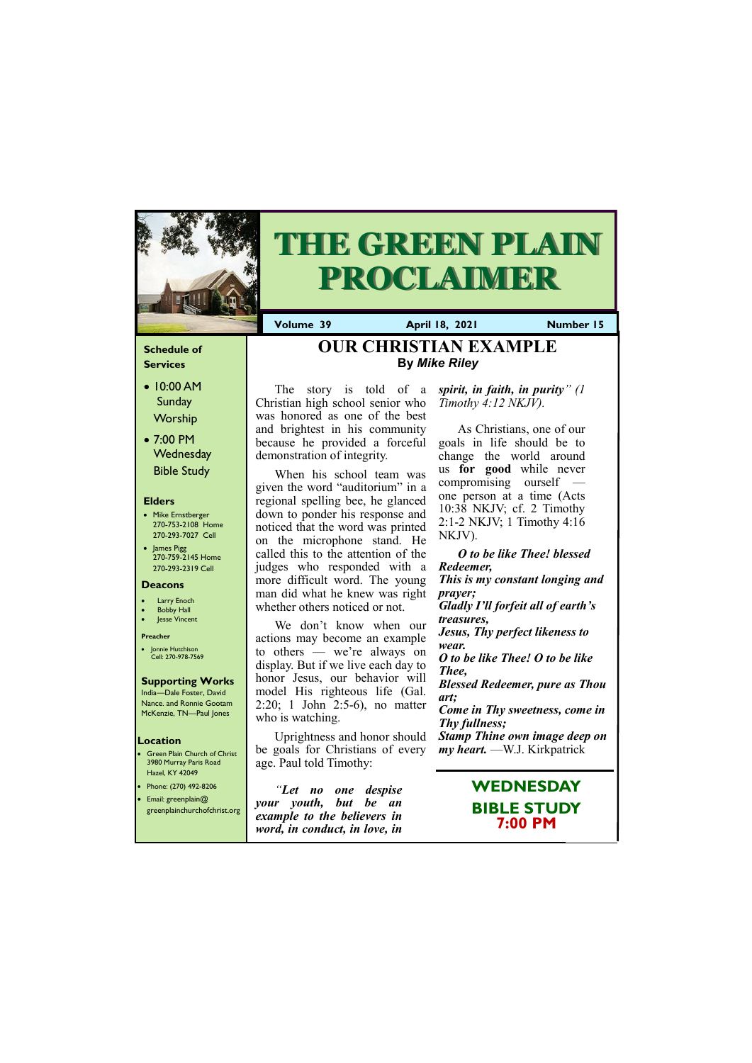### **Schedule of Services**

- 10:00 AM **Sunday** Worship
- 7:00 PM **Wednesday** Bible Study

### **Elders**

- Mike Ernstberger 270-753-2108 Home 270-293-7027 Cell
- James Pigg 270-759-2145 Home 270-293-2319 Cell

- **Green Plain Church of Christ** 3980 Murray Paris Road Hazel, KY 42049 • Phone: (270) 492-8206
- Email: greenplain@
- 

### **Location**



# **THE GREEN PLAIN PROCLAIMER**

**Volume 39 April 18, 2021 Number 15**

### **Deacons**

- **Larry Enoch**
- **Bobby Hall**
- **Jesse Vincent**

### **Preacher**

• Jonnie Hutchison Cell: 270-978-7569

### **Supporting Works**

We don't know when our actions may become an example to others — we're always on display. But if we live each day to honor Jesus, our behavior will model His righteous life (Gal. 2:20; 1 John 2:5-6), no matter who is watching.

India—Dale Foster, David Nance. and Ronnie Gootam McKenzie, TN—Paul Jones

The story is told of a Christian high school senior who was honored as one of the best and brightest in his community because he provided a forceful demonstration of integrity.

*"Let no one despise youth, but be an* 

| greenplainchurchofchrist.org | Sour young but be an          |
|------------------------------|-------------------------------|
|                              | example to the believers in   |
|                              | word, in conduct, in love, in |

When his school team was given the word "auditorium" in a regional spelling bee, he glanced down to ponder his response and noticed that the word was printed on the microphone stand. He called this to the attention of the judges who responded with a more difficult word. The young man did what he knew was right whether others noticed or not.

Uprightness and honor should be goals for Christians of every age. Paul told Timothy:

*spirit, in faith, in purity" (1 Timothy 4:12 NKJV).*

As Christians, one of our goals in life should be to change the world around us **for good** while never compromising ourself one person at a time (Acts 10:38 NKJV; cf. 2 Timothy 2:1-2 NKJV; 1 Timothy 4:16 NKJV).

### *O to be like Thee! blessed Redeemer, This is my constant longing and prayer; Gladly I'll forfeit all of earth's treasures, Jesus, Thy perfect likeness to wear. O to be like Thee! O to be like Thee, Blessed Redeemer, pure as Thou art; Come in Thy sweetness, come in Thy fullness;*

*Stamp Thine own image deep on my heart.* —W.J. Kirkpatrick

# **OUR CHRISTIAN EXAMPL[E](http://elizabethtoncoc.org/bulletin-articles/light-shines-brightest-in-dark-places) By** *Mike Riley*

**WEDNESDAY**

### **BIBLE STUDY 7:00 PM**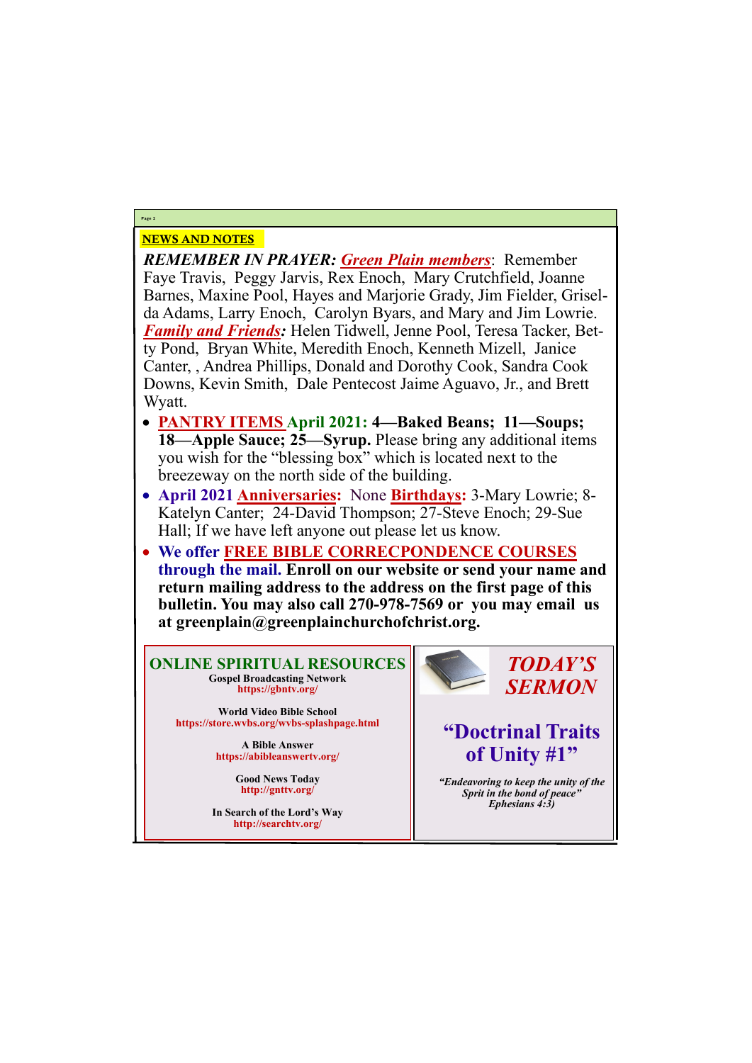# NEWS AND NOTES

*REMEMBER IN PRAYER: Green Plain members*: Remember Faye Travis, Peggy Jarvis, Rex Enoch, Mary Crutchfield, Joanne Barnes, Maxine Pool, Hayes and Marjorie Grady, Jim Fielder, Griselda Adams, Larry Enoch, Carolyn Byars, and Mary and Jim Lowrie. *Family and Friends:* Helen Tidwell, Jenne Pool, Teresa Tacker, Betty Pond, Bryan White, Meredith Enoch, Kenneth Mizell, Janice Canter, , Andrea Phillips, Donald and Dorothy Cook, Sandra Cook Downs, Kevin Smith, Dale Pentecost Jaime Aguavo, Jr., and Brett Wyatt.

- **PANTRY ITEMS April 2021: 4—Baked Beans; 11—Soups; 18—Apple Sauce; 25—Syrup.** Please bring any additional items you wish for the "blessing box" which is located next to the breezeway on the north side of the building.
- **April 2021 Anniversaries:** None **Birthdays:** 3-Mary Lowrie; 8- Katelyn Canter; 24-David Thompson; 27-Steve Enoch; 29-Sue Hall; If we have left anyone out please let us know.
- **We offer FREE BIBLE CORRECPONDENCE COURSES through the mail. Enroll on our website or send your name and return mailing address to the address on the first page of this bulletin. You may also call 270-978-7569 or you may email us at greenplain@greenplainchurchofchrist.org.**

**Page 2**

**ONLINE SPIRITUAL RESOURCES Gospel Broadcasting Network https://gbntv.org/**

**World Video Bible School https://store.wvbs.org/wvbs-splashpage.html**

> **A Bible Answer https://abibleanswertv.org/**

> > **Good News Today http://gnttv.org/**



**In Search of the Lord's Way http://searchtv.org/**

*TODAY'S SERMON*

# **"Doctrinal Traits of Unity #1"**

*"Endeavoring to keep the unity of the Sprit in the bond of peace"*

*Ephesians 4:3)*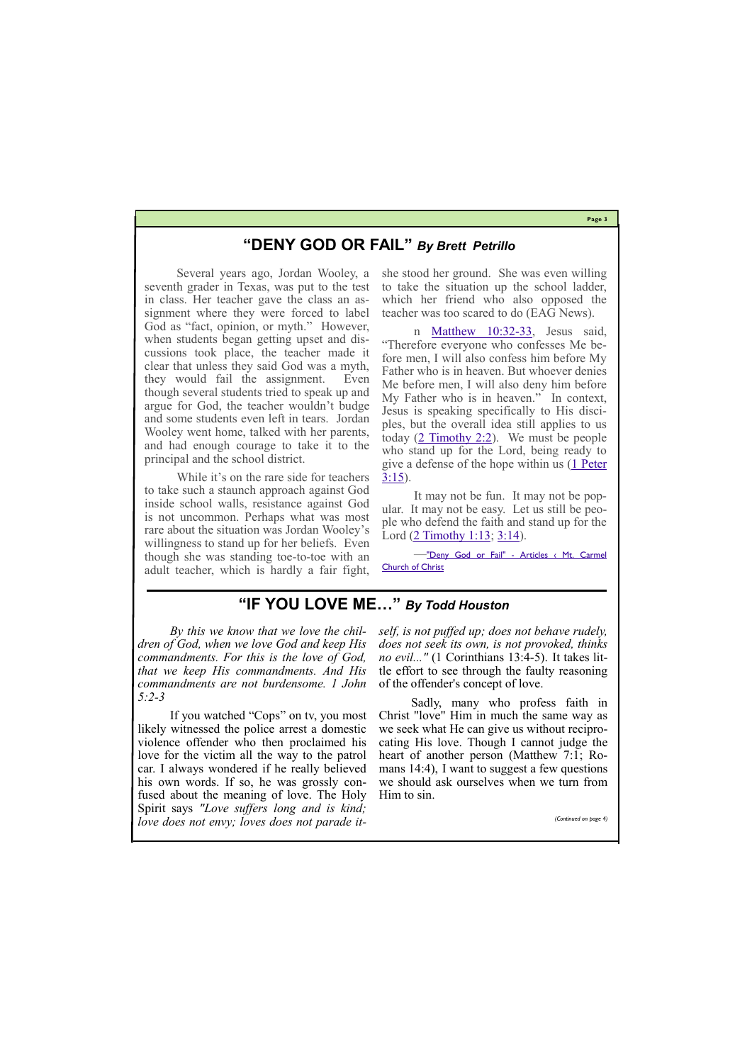**Page 3**

# **"DENY GOD OR FAIL"** *By Brett Petrillo*

Several years ago, Jordan Wooley, a seventh grader in Texas, was put to the test in class. Her teacher gave the class an assignment where they were forced to label God as "fact, opinion, or myth." However, when students began getting upset and discussions took place, the teacher made it clear that unless they said God was a myth, they would fail the assignment. Even though several students tried to speak up and argue for God, the teacher wouldn't budge and some students even left in tears. Jordan Wooley went home, talked with her parents, and had enough courage to take it to the principal and the school district.

> It may not be fun. It may not be popular. It may not be easy. Let us still be people who defend the faith and stand up for the Lord [\(2 Timothy 1:13;](https://biblia.com/bible/nasb95/2%20Tim%201.13) [3:14\).](https://biblia.com/bible/nasb95/2%20Timothy%203.14)

While it's on the rare side for teachers to take such a staunch approach against God inside school walls, resistance against God is not uncommon. Perhaps what was most rare about the situation was Jordan Wooley's willingness to stand up for her beliefs. Even though she was standing toe-to-toe with an adult teacher, which is hardly a fair fight, she stood her ground. She was even willing to take the situation up the school ladder, which her friend who also opposed the teacher was too scared to do (EAG News).

n [Matthew 10:32](https://biblia.com/bible/nasb95/Matt%2010.32-33)-33, Jesus said, "Therefore everyone who confesses Me before men, I will also confess him before My Father who is in heaven. But whoever denies Me before men, I will also deny him before My Father who is in heaven." In context, Jesus is speaking specifically to His disciples, but the overall idea still applies to us today  $(2$  Timothy 2:2). We must be people who stand up for the Lord, being ready to give a defense of the hope within us ([1 Peter](https://biblia.com/bible/nasb95/1%20Pet%203.15)  [3:15\)](https://biblia.com/bible/nasb95/1%20Pet%203.15).

—"Deny God or Fail" - [Articles ‹ Mt. Carmel](https://www.mtcarmelchurchofchrist.org/resources/articles/2021/04/04/deny-god-or-fail)  [Church of Christ](https://www.mtcarmelchurchofchrist.org/resources/articles/2021/04/04/deny-god-or-fail)

## **"IF YOU LOVE ME…"** *By Todd Houston*

*By this we know that we love the children of God, when we love God and keep His commandments. For this is the love of God, that we keep His commandments. And His commandments are not burdensome. 1 John 5:2-3*

If you watched "Cops" on tv, you most likely witnessed the police arrest a domestic violence offender who then proclaimed his love for the victim all the way to the patrol car. I always wondered if he really believed his own words. If so, he was grossly confused about the meaning of love. The Holy

Spirit says *"Love suffers long and is kind; love does not envy; loves does not parade it-* *self, is not puffed up; does not behave rudely, does not seek its own, is not provoked, thinks no evil..."* (1 Corinthians 13:4-5). It takes little effort to see through the faulty reasoning of the offender's concept of love.

Sadly, many who profess faith in Christ "love" Him in much the same way as we seek what He can give us without reciprocating His love. Though I cannot judge the heart of another person (Matthew 7:1; Romans 14:4), I want to suggest a few questions we should ask ourselves when we turn from Him to sin.

*(Continued on page 4)*